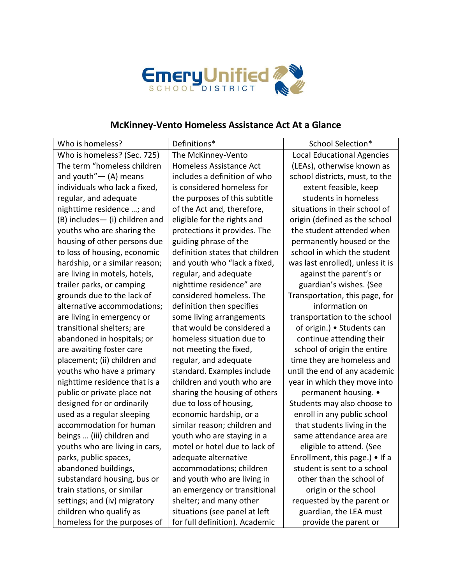

## **McKinney-Vento Homeless Assistance Act At a Glance**

| Who is homeless?                | Definitions*                    | School Selection*                 |
|---------------------------------|---------------------------------|-----------------------------------|
| Who is homeless? (Sec. 725)     | The McKinney-Vento              | <b>Local Educational Agencies</b> |
| The term "homeless children     | Homeless Assistance Act         | (LEAs), otherwise known as        |
| and youth" $-$ (A) means        | includes a definition of who    | school districts, must, to the    |
| individuals who lack a fixed,   | is considered homeless for      | extent feasible, keep             |
| regular, and adequate           | the purposes of this subtitle   | students in homeless              |
| nighttime residence ; and       | of the Act and, therefore,      | situations in their school of     |
| (B) includes - (i) children and | eligible for the rights and     | origin (defined as the school     |
| youths who are sharing the      | protections it provides. The    | the student attended when         |
| housing of other persons due    | guiding phrase of the           | permanently housed or the         |
| to loss of housing, economic    | definition states that children | school in which the student       |
| hardship, or a similar reason;  | and youth who "lack a fixed,    | was last enrolled), unless it is  |
| are living in motels, hotels,   | regular, and adequate           | against the parent's or           |
| trailer parks, or camping       | nighttime residence" are        | guardian's wishes. (See           |
| grounds due to the lack of      | considered homeless. The        | Transportation, this page, for    |
| alternative accommodations;     | definition then specifies       | information on                    |
| are living in emergency or      | some living arrangements        | transportation to the school      |
| transitional shelters; are      | that would be considered a      | of origin.) • Students can        |
| abandoned in hospitals; or      | homeless situation due to       | continue attending their          |
| are awaiting foster care        | not meeting the fixed,          | school of origin the entire       |
| placement; (ii) children and    | regular, and adequate           | time they are homeless and        |
| youths who have a primary       | standard. Examples include      | until the end of any academic     |
| nighttime residence that is a   | children and youth who are      | year in which they move into      |
| public or private place not     | sharing the housing of others   | permanent housing. •              |
| designed for or ordinarily      | due to loss of housing,         | Students may also choose to       |
| used as a regular sleeping      | economic hardship, or a         | enroll in any public school       |
| accommodation for human         | similar reason; children and    | that students living in the       |
| beings  (iii) children and      | youth who are staying in a      | same attendance area are          |
| youths who are living in cars,  | motel or hotel due to lack of   | eligible to attend. (See          |
| parks, public spaces,           | adequate alternative            | Enrollment, this page.) • If a    |
| abandoned buildings,            | accommodations; children        | student is sent to a school       |
| substandard housing, bus or     | and youth who are living in     | other than the school of          |
| train stations, or similar      | an emergency or transitional    | origin or the school              |
| settings; and (iv) migratory    | shelter; and many other         | requested by the parent or        |
| children who qualify as         | situations (see panel at left   | guardian, the LEA must            |
| homeless for the purposes of    | for full definition). Academic  | provide the parent or             |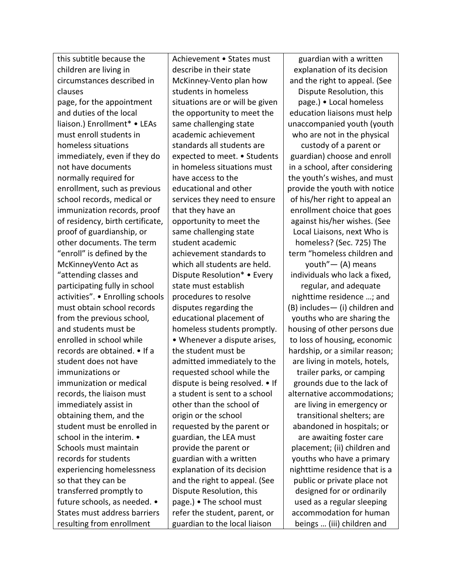this subtitle because the children are living in circumstances described in clauses page, for the appointment and duties of the local liaison.) Enrollment\* • LEAs must enroll students in homeless situations immediately, even if they do not have documents normally required for enrollment, such as previous school records, medical or immunization records, proof of residency, birth certificate, proof of guardianship, or other documents. The term "enroll" is defined by the McKinneyVento Act as "attending classes and participating fully in school activities". • Enrolling schools must obtain school records from the previous school, and students must be enrolled in school while records are obtained. • If a student does not have immunizations or immunization or medical records, the liaison must immediately assist in obtaining them, and the student must be enrolled in school in the interim. • Schools must maintain records for students experiencing homelessness so that they can be transferred promptly to future schools, as needed. • States must address barriers resulting from enrollment

Achievement • States must describe in their state McKinney-Vento plan how students in homeless situations are or will be given the opportunity to meet the same challenging state academic achievement standards all students are expected to meet. • Students in homeless situations must have access to the educational and other services they need to ensure that they have an opportunity to meet the same challenging state student academic achievement standards to which all students are held. Dispute Resolution\* • Every state must establish procedures to resolve disputes regarding the educational placement of homeless students promptly. • Whenever a dispute arises, the student must be admitted immediately to the requested school while the dispute is being resolved. • If a student is sent to a school other than the school of origin or the school requested by the parent or guardian, the LEA must provide the parent or guardian with a written explanation of its decision and the right to appeal. (See Dispute Resolution, this page.) • The school must refer the student, parent, or guardian to the local liaison

guardian with a written explanation of its decision and the right to appeal. (See Dispute Resolution, this page.) • Local homeless education liaisons must help unaccompanied youth (youth who are not in the physical

custody of a parent or guardian) choose and enroll in a school, after considering the youth's wishes, and must provide the youth with notice of his/her right to appeal an enrollment choice that goes against his/her wishes. (See Local Liaisons, next Who is homeless? (Sec. 725) The term "homeless children and youth"— (A) means

individuals who lack a fixed, regular, and adequate nighttime residence …; and (B) includes— (i) children and youths who are sharing the housing of other persons due to loss of housing, economic hardship, or a similar reason; are living in motels, hotels, trailer parks, or camping grounds due to the lack of alternative accommodations; are living in emergency or transitional shelters; are abandoned in hospitals; or are awaiting foster care placement; (ii) children and youths who have a primary nighttime residence that is a public or private place not designed for or ordinarily used as a regular sleeping accommodation for human beings … (iii) children and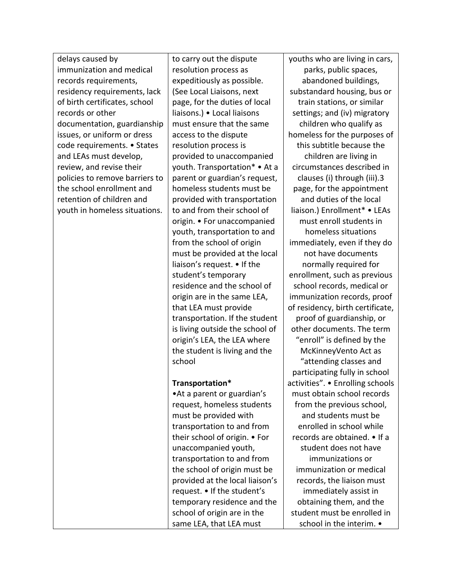delays caused by immunization and medical records requirements, residency requirements, lack of birth certificates, school records or other documentation, guardianship issues, or uniform or dress code requirements. • States and LEAs must develop, review, and revise their policies to remove barriers to the school enrollment and retention of children and youth in homeless situations.

to carry out the dispute resolution process as expeditiously as possible. (See Local Liaisons, next page, for the duties of local liaisons.) • Local liaisons must ensure that the same access to the dispute resolution process is provided to unaccompanied youth. Transportation\* • At a parent or guardian's request, homeless students must be provided with transportation to and from their school of origin. • For unaccompanied youth, transportation to and from the school of origin must be provided at the local liaison's request. • If the student's temporary residence and the school of origin are in the same LEA, that LEA must provide transportation. If the student is living outside the school of origin's LEA, the LEA where the student is living and the school

## **Transportation\***

•At a parent or guardian's request, homeless students must be provided with transportation to and from their school of origin. • For unaccompanied youth, transportation to and from the school of origin must be provided at the local liaison's request. • If the student's temporary residence and the school of origin are in the same LEA, that LEA must

youths who are living in cars, parks, public spaces, abandoned buildings, substandard housing, bus or train stations, or similar settings; and (iv) migratory children who qualify as homeless for the purposes of this subtitle because the children are living in circumstances described in clauses (i) through (iii).3 page, for the appointment and duties of the local liaison.) Enrollment\* • LEAs must enroll students in homeless situations immediately, even if they do not have documents normally required for enrollment, such as previous school records, medical or immunization records, proof of residency, birth certificate, proof of guardianship, or other documents. The term "enroll" is defined by the McKinneyVento Act as "attending classes and participating fully in school activities". • Enrolling schools must obtain school records from the previous school, and students must be enrolled in school while records are obtained. • If a student does not have immunizations or immunization or medical records, the liaison must immediately assist in obtaining them, and the student must be enrolled in school in the interim. •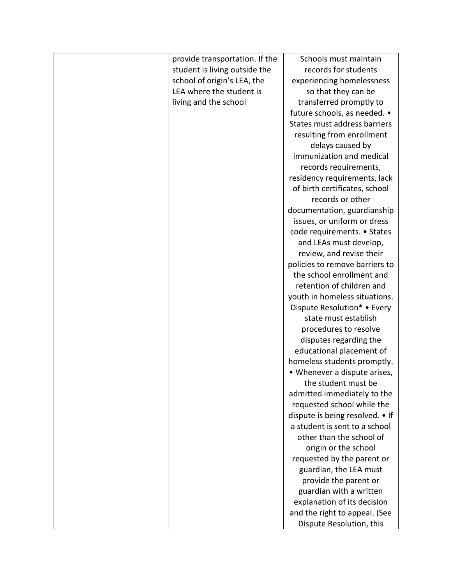| provide transportation. If the | Schools must maintain           |
|--------------------------------|---------------------------------|
| student is living outside the  | records for students            |
| school of origin's LEA, the    | experiencing homelessness       |
| LEA where the student is       | so that they can be             |
| living and the school          | transferred promptly to         |
|                                | future schools, as needed. •    |
|                                | States must address barriers    |
|                                | resulting from enrollment       |
|                                | delays caused by                |
|                                | immunization and medical        |
|                                | records requirements,           |
|                                | residency requirements, lack    |
|                                | of birth certificates, school   |
|                                | records or other                |
|                                | documentation, guardianship     |
|                                | issues, or uniform or dress     |
|                                | code requirements. • States     |
|                                | and LEAs must develop,          |
|                                | review, and revise their        |
|                                | policies to remove barriers to  |
|                                | the school enrollment and       |
|                                | retention of children and       |
|                                | youth in homeless situations.   |
|                                | Dispute Resolution* • Every     |
|                                | state must establish            |
|                                | procedures to resolve           |
|                                | disputes regarding the          |
|                                | educational placement of        |
|                                | homeless students promptly.     |
|                                | • Whenever a dispute arises,    |
|                                | the student must be             |
|                                | admitted immediately to the     |
|                                | requested school while the      |
|                                | dispute is being resolved. • If |
|                                | a student is sent to a school   |
|                                | other than the school of        |
|                                | origin or the school            |
|                                | requested by the parent or      |
|                                | guardian, the LEA must          |
|                                | provide the parent or           |
|                                | guardian with a written         |
|                                | explanation of its decision     |
|                                | and the right to appeal. (See   |
|                                | Dispute Resolution, this        |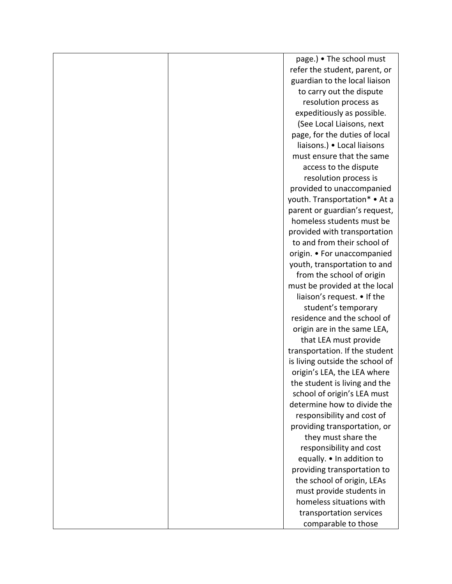|  | page.) • The school must        |
|--|---------------------------------|
|  | refer the student, parent, or   |
|  | guardian to the local liaison   |
|  | to carry out the dispute        |
|  | resolution process as           |
|  | expeditiously as possible.      |
|  | (See Local Liaisons, next       |
|  | page, for the duties of local   |
|  | liaisons.) • Local liaisons     |
|  | must ensure that the same       |
|  | access to the dispute           |
|  | resolution process is           |
|  | provided to unaccompanied       |
|  | youth. Transportation* • At a   |
|  | parent or guardian's request,   |
|  | homeless students must be       |
|  | provided with transportation    |
|  | to and from their school of     |
|  | origin. • For unaccompanied     |
|  | youth, transportation to and    |
|  | from the school of origin       |
|  | must be provided at the local   |
|  | liaison's request. • If the     |
|  | student's temporary             |
|  | residence and the school of     |
|  | origin are in the same LEA,     |
|  | that LEA must provide           |
|  | transportation. If the student  |
|  | is living outside the school of |
|  | origin's LEA, the LEA where     |
|  | the student is living and the   |
|  | school of origin's LEA must     |
|  | determine how to divide the     |
|  | responsibility and cost of      |
|  | providing transportation, or    |
|  | they must share the             |
|  | responsibility and cost         |
|  | equally. • In addition to       |
|  | providing transportation to     |
|  | the school of origin, LEAs      |
|  | must provide students in        |
|  | homeless situations with        |
|  | transportation services         |
|  | comparable to those             |